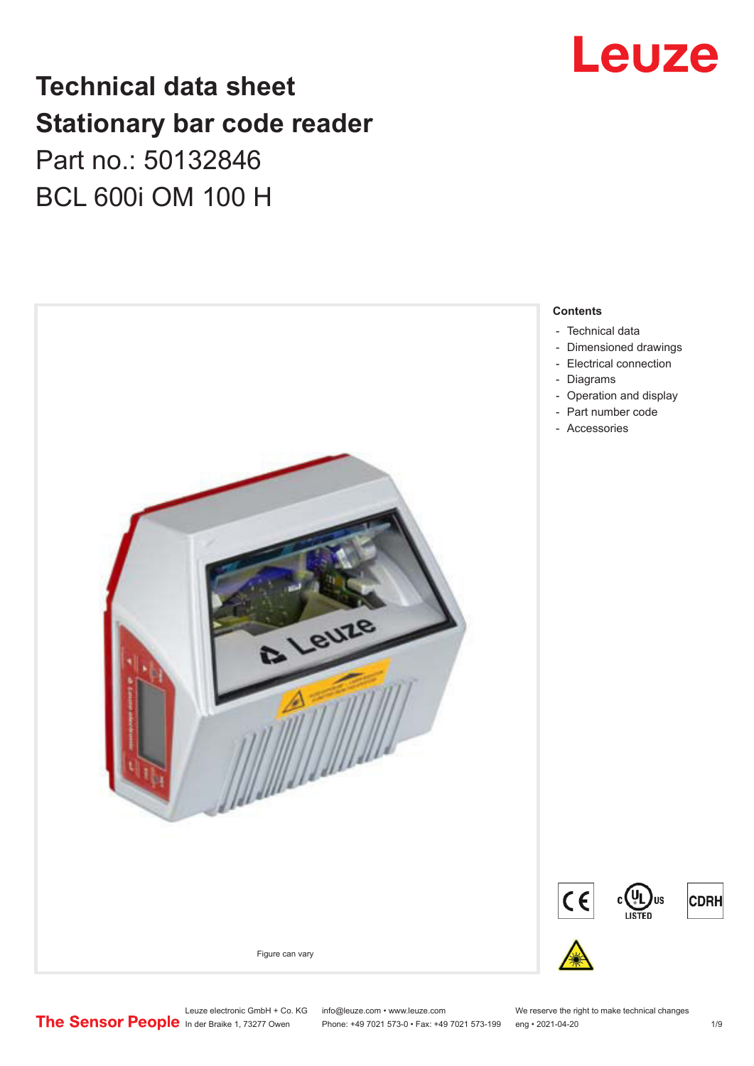# Leuze

## **Technical data sheet Stationary bar code reader** Part no.: 50132846 BCL 600i OM 100 H



Leuze electronic GmbH + Co. KG info@leuze.com • www.leuze.com We reserve the right to make technical changes<br>
The Sensor People in der Braike 1, 73277 Owen Phone: +49 7021 573-0 • Fax: +49 7021 573-199 eng • 2021-04-20

Phone: +49 7021 573-0 • Fax: +49 7021 573-199 eng • 2021-04-20 1 /9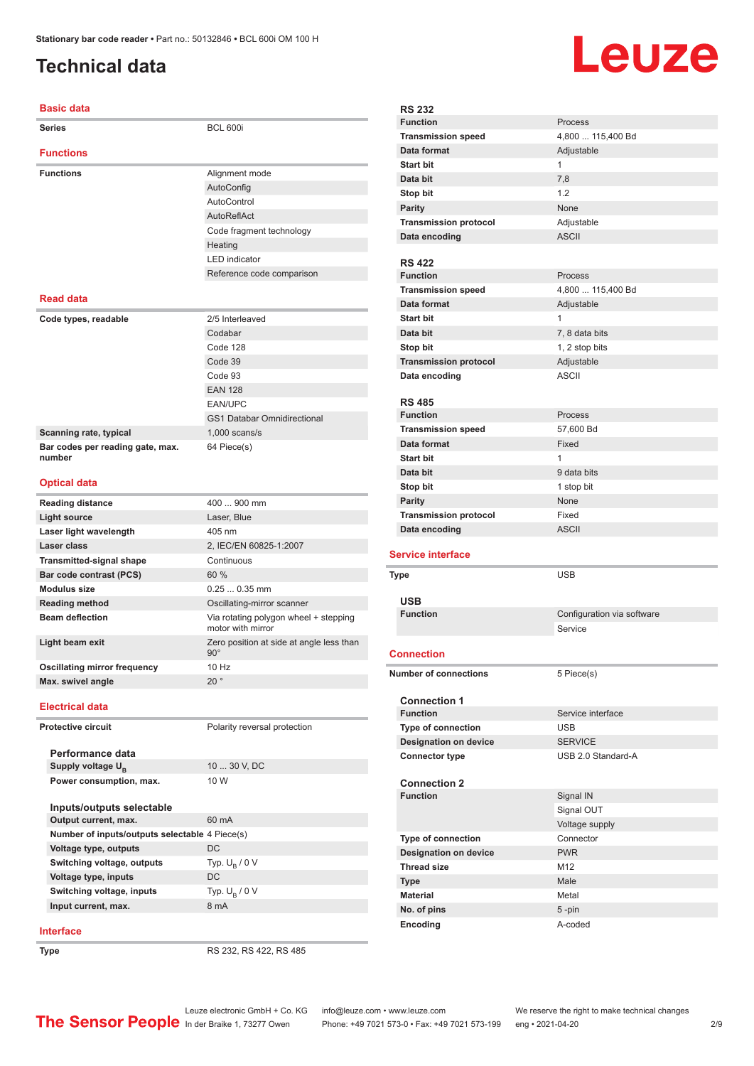## <span id="page-1-0"></span>**Technical data**

### **Basic data**

| <b>Series</b>                              | <b>BCL 600i</b>                                            |  |
|--------------------------------------------|------------------------------------------------------------|--|
| <b>Functions</b>                           |                                                            |  |
| <b>Functions</b>                           | Alignment mode                                             |  |
|                                            | AutoConfig                                                 |  |
|                                            | AutoControl                                                |  |
|                                            | AutoReflAct                                                |  |
|                                            | Code fragment technology                                   |  |
|                                            | Heating                                                    |  |
|                                            | <b>LED</b> indicator                                       |  |
|                                            | Reference code comparison                                  |  |
| <b>Read data</b>                           |                                                            |  |
| Code types, readable                       | 2/5 Interleaved                                            |  |
|                                            | Codabar                                                    |  |
|                                            | Code 128                                                   |  |
|                                            | Code 39                                                    |  |
|                                            | Code 93                                                    |  |
|                                            | <b>EAN 128</b>                                             |  |
|                                            | EAN/UPC                                                    |  |
|                                            | <b>GS1 Databar Omnidirectional</b>                         |  |
| Scanning rate, typical                     | $1,000$ scans/s                                            |  |
| Bar codes per reading gate, max.<br>number | 64 Piece(s)                                                |  |
| <b>Optical data</b>                        |                                                            |  |
| <b>Reading distance</b>                    | 400  900 mm                                                |  |
| <b>Light source</b>                        | Laser, Blue                                                |  |
| Laser light wavelength                     | 405 nm                                                     |  |
| Laser class                                | 2, IEC/EN 60825-1:2007                                     |  |
| <b>Transmitted-signal shape</b>            | Continuous                                                 |  |
| Bar code contrast (PCS)                    | 60 %                                                       |  |
| <b>Modulus size</b>                        | $0.250.35$ mm                                              |  |
| <b>Reading method</b>                      | Oscillating-mirror scanner                                 |  |
| <b>Beam deflection</b>                     | Via rotating polygon wheel + stepping<br>motor with mirror |  |
| Light beam exit                            | Zero position at side at angle less than<br>$90^\circ$     |  |
| <b>Oscillating mirror frequency</b>        | 10 Hz                                                      |  |
| Max. swivel angle                          | 20°                                                        |  |
| <b>Electrical data</b>                     |                                                            |  |
| <b>Protective circuit</b>                  | Polarity reversal protection                               |  |
|                                            |                                                            |  |

| Performance data                               |                        |
|------------------------------------------------|------------------------|
| Supply voltage $U_{B}$                         | 10  30 V. DC           |
| Power consumption, max.                        | 10 W                   |
|                                                |                        |
| Inputs/outputs selectable                      |                        |
| Output current, max.                           | $60 \text{ mA}$        |
| Number of inputs/outputs selectable 4 Piece(s) |                        |
| Voltage type, outputs                          | DC.                    |
| Switching voltage, outputs                     | Typ. $U_{\rm B}$ / 0 V |
| Voltage type, inputs                           | DC.                    |
| Switching voltage, inputs                      | Typ. $U_R / 0 V$       |
| Input current, max.                            | 8 mA                   |
|                                                |                        |

### **Interface**

**Type** RS 232, RS 422, RS 485



| <b>RS 232</b>                |                            |
|------------------------------|----------------------------|
| <b>Function</b>              | Process                    |
| <b>Transmission speed</b>    | 4,800  115,400 Bd          |
| Data format                  | Adjustable                 |
| Start bit                    | $\mathbf{1}$               |
| Data bit                     | 7,8                        |
| Stop bit                     | 1.2                        |
| <b>Parity</b>                | None                       |
| <b>Transmission protocol</b> | Adjustable                 |
| Data encoding                | <b>ASCII</b>               |
|                              |                            |
| <b>RS 422</b>                |                            |
| <b>Function</b>              | Process                    |
| <b>Transmission speed</b>    | 4,800  115,400 Bd          |
| Data format                  | Adjustable                 |
| <b>Start bit</b>             | $\mathbf{1}$               |
| Data bit                     | 7, 8 data bits             |
| Stop bit                     | 1, 2 stop bits             |
| <b>Transmission protocol</b> | Adjustable                 |
| Data encoding                | <b>ASCII</b>               |
|                              |                            |
| <b>RS 485</b>                |                            |
| <b>Function</b>              | Process                    |
| <b>Transmission speed</b>    | 57,600 Bd                  |
| Data format                  | Fixed                      |
| <b>Start bit</b>             | $\mathbf{1}$               |
| Data bit                     | 9 data bits                |
| Stop bit                     | 1 stop bit                 |
| <b>Parity</b>                | None                       |
| <b>Transmission protocol</b> | Fixed                      |
|                              |                            |
| Data encoding                | <b>ASCII</b>               |
| <b>Service interface</b>     |                            |
| Type                         | <b>USB</b>                 |
|                              |                            |
| <b>USB</b>                   |                            |
| <b>Function</b>              | Configuration via software |
|                              | Service                    |
|                              |                            |
| <b>Connection</b>            |                            |
| <b>Number of connections</b> | 5 Piece(s)                 |
|                              |                            |
| <b>Connection 1</b>          |                            |
| <b>Function</b>              | Service interface          |
| Type of connection           | <b>USB</b>                 |
| <b>Designation on device</b> | <b>SERVICE</b>             |
| <b>Connector type</b>        | USB 2.0 Standard-A         |
| <b>Connection 2</b>          |                            |
| <b>Function</b>              | Signal IN                  |
|                              | Signal OUT                 |
|                              | Voltage supply             |
| <b>Type of connection</b>    | Connector                  |
| <b>Designation on device</b> | <b>PWR</b>                 |
| <b>Thread size</b>           | M12                        |
| <b>Type</b>                  | Male                       |
| <b>Material</b>              | Metal                      |
| No. of pins                  | $5 - pin$                  |
| Encoding                     | A-coded                    |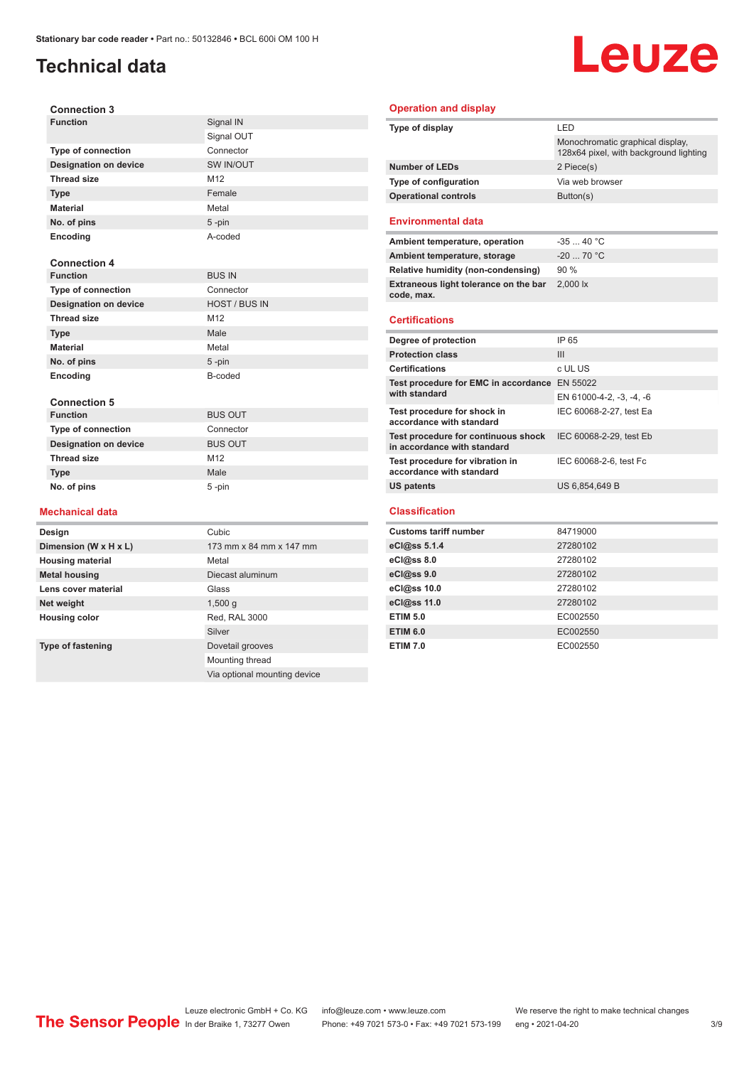## **Technical data**

# Leuze

| <b>Connection 3</b>          |                      |
|------------------------------|----------------------|
| <b>Function</b>              | Signal IN            |
|                              | Signal OUT           |
| <b>Type of connection</b>    | Connector            |
| <b>Designation on device</b> | SW IN/OUT            |
| <b>Thread size</b>           | M12                  |
| <b>Type</b>                  | Female               |
| <b>Material</b>              | Metal                |
| No. of pins                  | $5 - pin$            |
| Encoding                     | A-coded              |
|                              |                      |
| <b>Connection 4</b>          |                      |
| <b>Function</b>              | <b>BUS IN</b>        |
| <b>Type of connection</b>    | Connector            |
| <b>Designation on device</b> | <b>HOST / BUS IN</b> |
| <b>Thread size</b>           | M12                  |
| <b>Type</b>                  | Male                 |
| <b>Material</b>              | Metal                |
| No. of pins                  | $5 - pin$            |
| Encoding                     | B-coded              |
|                              |                      |
| <b>Connection 5</b>          |                      |
| <b>Function</b>              | <b>BUS OUT</b>       |
| Type of connection           | Connector            |
| <b>Designation on device</b> | <b>BUS OUT</b>       |
| <b>Thread size</b>           | M12                  |
| <b>Type</b>                  | Male                 |
| No. of pins                  | 5-pin                |
|                              |                      |
| Mechanical data              |                      |
| <b>)esign</b>                | Cubic                |

### **Mechanical data**  $\equiv$

| Design                   | Cubic                        |
|--------------------------|------------------------------|
| Dimension (W x H x L)    | 173 mm x 84 mm x 147 mm      |
| <b>Housing material</b>  | Metal                        |
| <b>Metal housing</b>     | Diecast aluminum             |
| Lens cover material      | Glass                        |
| Net weight               | 1,500q                       |
| <b>Housing color</b>     | Red, RAL 3000                |
|                          | Silver                       |
| <b>Type of fastening</b> | Dovetail grooves             |
|                          | Mounting thread              |
|                          | Via optional mounting device |

### **Operation and display**

| Type of display                                                    | LED                                                                        |
|--------------------------------------------------------------------|----------------------------------------------------------------------------|
|                                                                    | Monochromatic graphical display,<br>128x64 pixel, with background lighting |
| <b>Number of LEDs</b>                                              | 2 Piece(s)                                                                 |
| Type of configuration                                              | Via web browser                                                            |
| <b>Operational controls</b>                                        | Button(s)                                                                  |
| <b>Environmental data</b>                                          |                                                                            |
| Ambient temperature, operation                                     | $-35$ 40 °C                                                                |
| Ambient temperature, storage                                       | $-20$ 70 °C                                                                |
| Relative humidity (non-condensing)                                 | 90%                                                                        |
| Extraneous light tolerance on the bar<br>code, max.                | 2.000 lx                                                                   |
| <b>Certifications</b>                                              |                                                                            |
| Degree of protection                                               | IP 65                                                                      |
| <b>Protection class</b>                                            | Ш                                                                          |
| <b>Certifications</b>                                              | c UL US                                                                    |
| Test procedure for EMC in accordance EN 55022<br>with standard     | EN 61000-4-2, -3, -4, -6                                                   |
| Test procedure for shock in<br>accordance with standard            | IEC 60068-2-27, test Ea                                                    |
| Test procedure for continuous shock<br>in accordance with standard | IEC 60068-2-29, test Eb                                                    |
| Test procedure for vibration in<br>accordance with standard        | IEC 60068-2-6, test Fc                                                     |
| <b>US patents</b>                                                  | US 6,854,649 B                                                             |
| <b>Classification</b>                                              |                                                                            |
| <b>Customs tariff number</b>                                       | 84719000                                                                   |
| eCl@ss 5.1.4                                                       | 27280102                                                                   |
|                                                                    |                                                                            |

| Gustoms tarih number | <b>04713000</b> |
|----------------------|-----------------|
| eCl@ss 5.1.4         | 27280102        |
| eCl@ss 8.0           | 27280102        |
| eCl@ss 9.0           | 27280102        |
| eCl@ss 10.0          | 27280102        |
| eCl@ss 11.0          | 27280102        |
| <b>ETIM 5.0</b>      | EC002550        |
| <b>ETIM 6.0</b>      | EC002550        |
| <b>ETIM 7.0</b>      | EC002550        |
|                      |                 |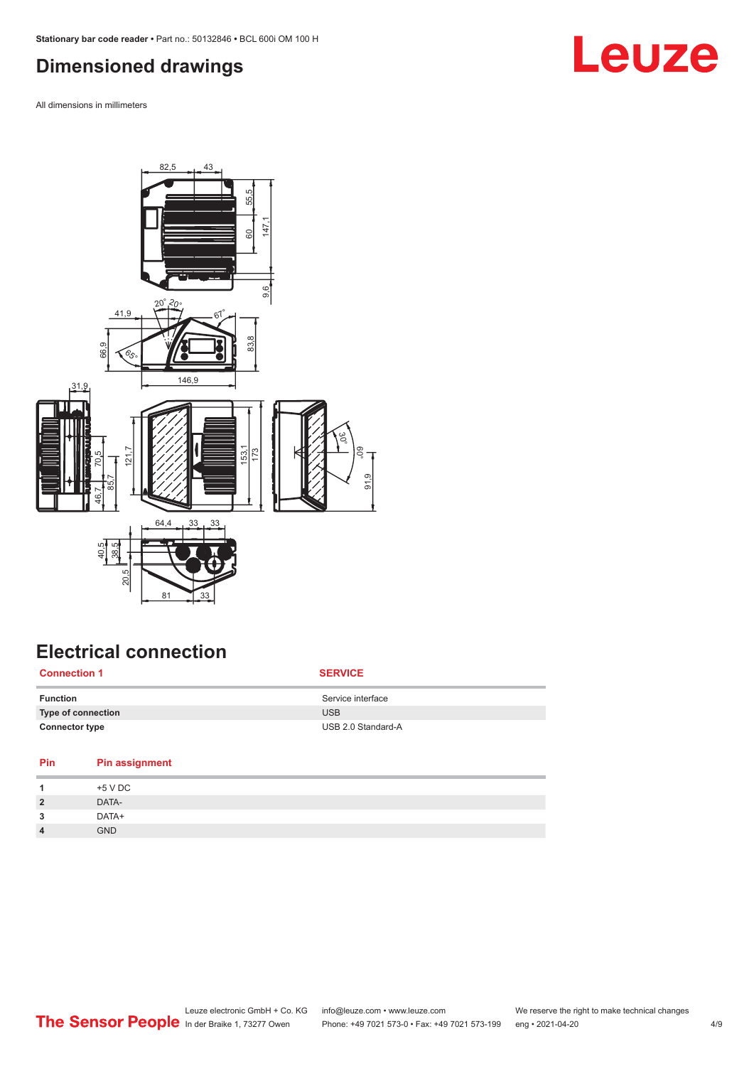### <span id="page-3-0"></span>**Dimensioned drawings**

All dimensions in millimeters



## **Electrical connection**

| <b>Connection 1</b>       | <b>SERVICE</b>     |
|---------------------------|--------------------|
| <b>Function</b>           | Service interface  |
| <b>Type of connection</b> | <b>USB</b>         |
| <b>Connector type</b>     | USB 2.0 Standard-A |

| Pin<br><b>Pin assignment</b> |  |
|------------------------------|--|
| +5 V DC                      |  |
| DATA-<br>$\overline{2}$      |  |
| DATA+<br>3                   |  |
| <b>GND</b><br>$\overline{4}$ |  |

## **Leuze**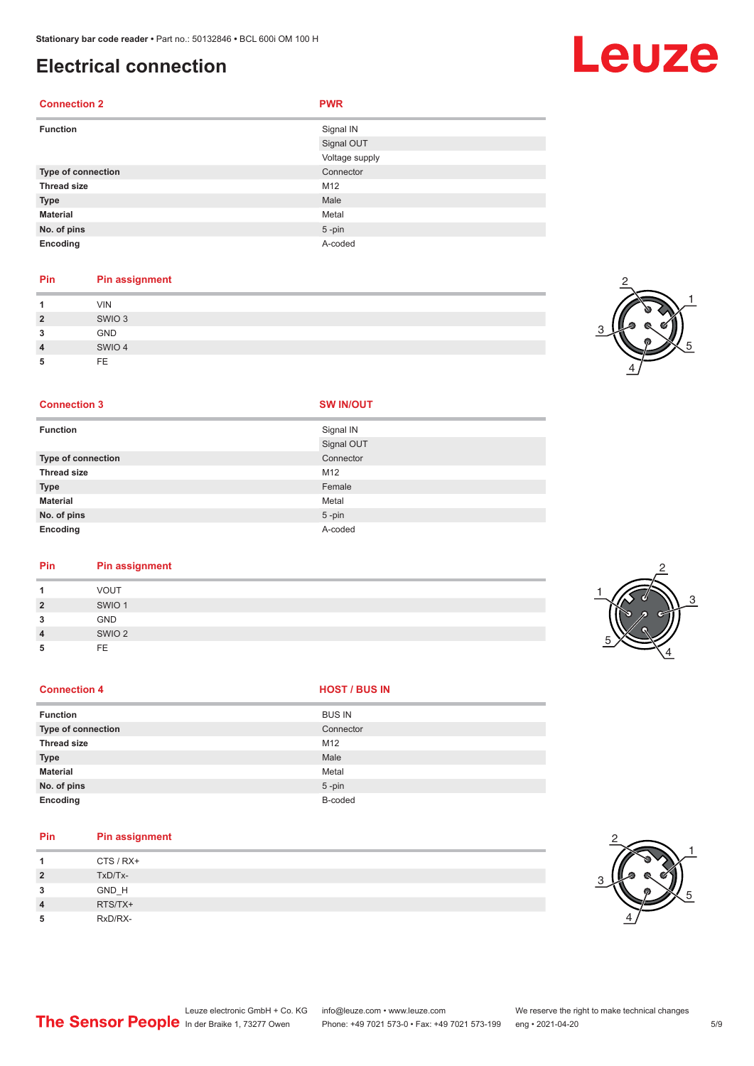**Connection 2 PWR**

**No. of pins** 5 -pin **Encoding** A-coded

### **Electrical connection**

### **Function** Signal IN Signal OUT Voltage supply **Type of connection** Connection Connector **Thread size** M12 **Type Male Material** Metal

### **Pin Pin assignment**

|                | VIN               |
|----------------|-------------------|
| $\overline{2}$ | SWIO <sub>3</sub> |
| 3              | GND               |
| $\overline{4}$ | SWIO 4            |
| 5              | <b>FE</b>         |

### **Connection 3 SW IN/OUT**

|  | ------- |  |
|--|---------|--|
|  |         |  |

| <b>Function</b>    | Signal IN  |
|--------------------|------------|
|                    | Signal OUT |
| Type of connection | Connector  |
| <b>Thread size</b> | M12        |
| <b>Type</b>        | Female     |
| <b>Material</b>    | Metal      |
| No. of pins        | $5$ -pin   |
| Encoding           | A-coded    |

### **Pin Pin assignment**

|                | <b>VOUT</b>       |  |  |
|----------------|-------------------|--|--|
| $\overline{2}$ | SWIO <sub>1</sub> |  |  |
| 3              | <b>GND</b>        |  |  |
| $\overline{4}$ | SWIO <sub>2</sub> |  |  |
| 5              | <b>FE</b>         |  |  |
|                |                   |  |  |

### **Connection 4 HOST** / BUS IN

| <b>Function</b>           | <b>BUS IN</b> |
|---------------------------|---------------|
| <b>Type of connection</b> | Connector     |
| <b>Thread size</b>        | M12           |
| <b>Type</b>               | Male          |
| <b>Material</b>           | Metal         |
| No. of pins               | $5$ -pin      |
| Encoding                  | B-coded       |

## **Pin Pin assignment**

| -1             | CTS / RX+ |
|----------------|-----------|
| $\overline{2}$ | TxD/Tx-   |
| 3              | GND_H     |
| $\overline{4}$ | RTS/TX+   |
| 5              | RxD/RX-   |



# Leuze

| $\frac{4}{ }$ |  |
|---------------|--|
|               |  |
|               |  |
|               |  |

2







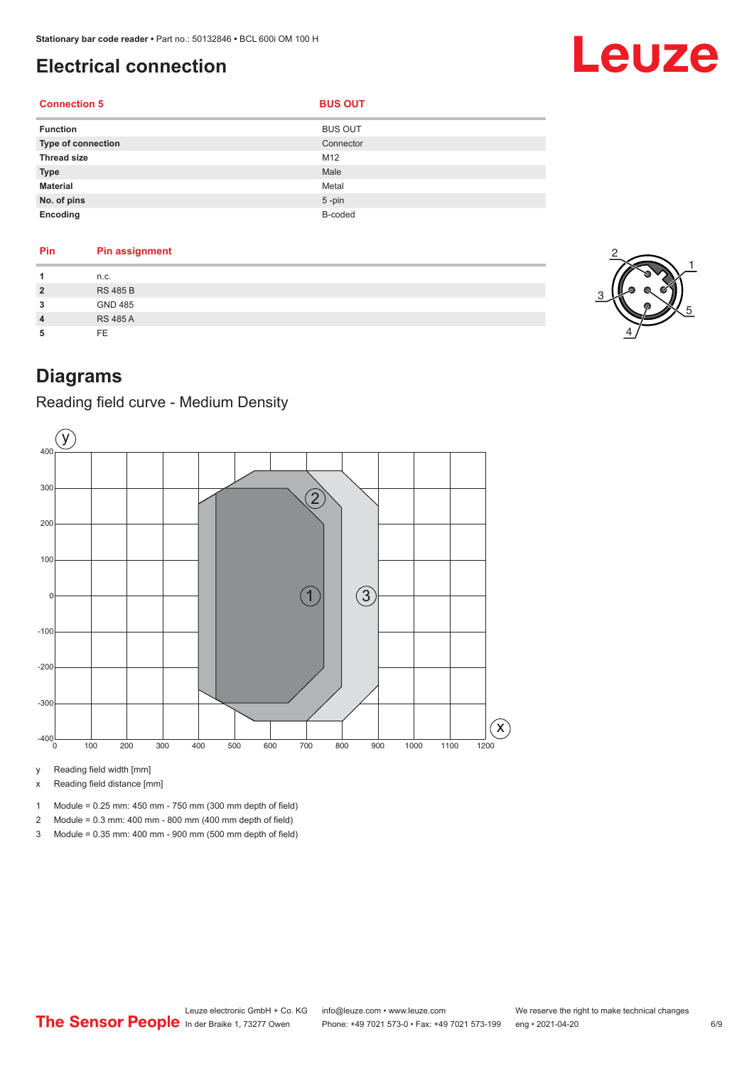## <span id="page-5-0"></span>**Electrical connection**

| <b>Connection 5</b> | <b>BUS OUT</b> |
|---------------------|----------------|
|                     |                |

| $\sim$<br>.,<br>× | $\sim$<br>$\sim$ |  |
|-------------------|------------------|--|
|-------------------|------------------|--|

| <b>Function</b>           | <b>BUS OUT</b> |
|---------------------------|----------------|
| <b>Type of connection</b> | Connector      |
| <b>Thread size</b>        | M12            |
| <b>Type</b>               | Male           |
| <b>Material</b>           | Metal          |
| No. of pins               | $5$ -pin       |
| Encoding                  | B-coded        |

| Pin            | <b>Pin assignment</b> |  |
|----------------|-----------------------|--|
|                |                       |  |
| 1              | n.c.                  |  |
| $\overline{2}$ | <b>RS 485 B</b>       |  |
| 3              | <b>GND 485</b>        |  |
| $\overline{4}$ | <b>RS 485 A</b>       |  |
| 5              | FE.                   |  |



Leuze

## **Diagrams**

Reading field curve - Medium Density



y Reading field width [mm]

x Reading field distance [mm]

1 Module = 0.25 mm: 450 mm - 750 mm (300 mm depth of field)

2 Module = 0.3 mm: 400 mm - 800 mm (400 mm depth of field)

3 Module = 0.35 mm: 400 mm - 900 mm (500 mm depth of field)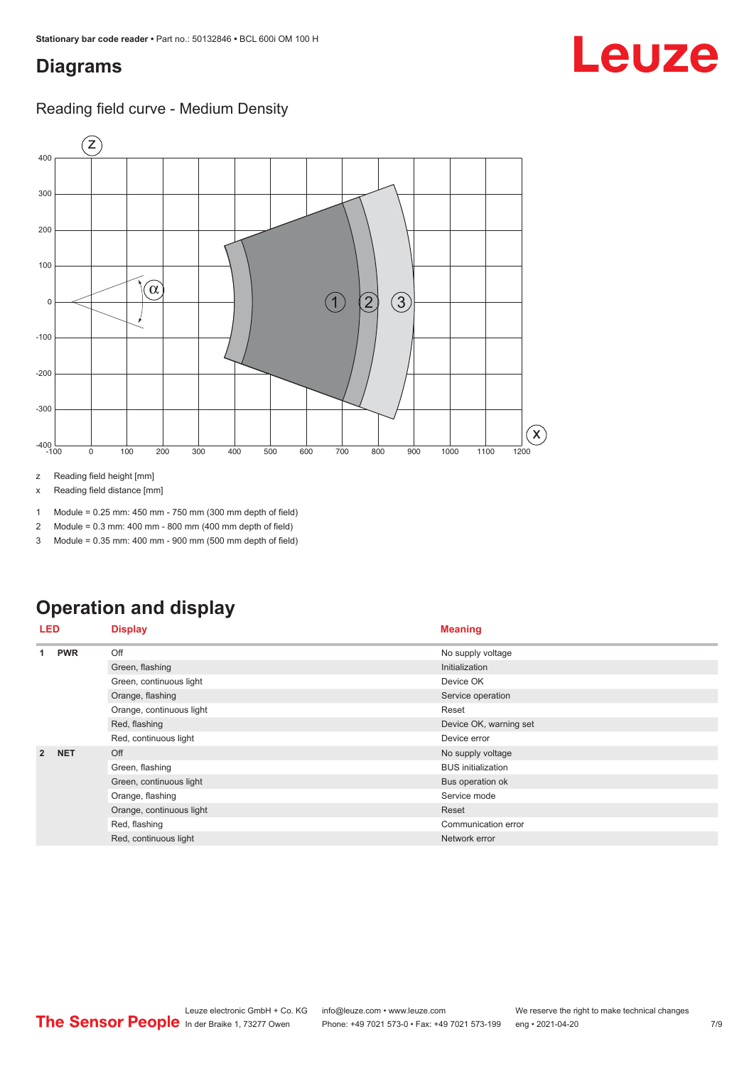### <span id="page-6-0"></span>**Diagrams**

### Reading field curve - Medium Density



z Reading field height [mm]

x Reading field distance [mm]

1 Module = 0.25 mm: 450 mm - 750 mm (300 mm depth of field)

2 Module = 0.3 mm: 400 mm - 800 mm (400 mm depth of field)

3 Module = 0.35 mm: 400 mm - 900 mm (500 mm depth of field)

## **Operation and display**

| <b>LED</b>     |            | <b>Display</b>           | <b>Meaning</b>            |
|----------------|------------|--------------------------|---------------------------|
| 1              | <b>PWR</b> | Off                      | No supply voltage         |
|                |            | Green, flashing          | Initialization            |
|                |            | Green, continuous light  | Device OK                 |
|                |            | Orange, flashing         | Service operation         |
|                |            | Orange, continuous light | Reset                     |
|                |            | Red, flashing            | Device OK, warning set    |
|                |            | Red, continuous light    | Device error              |
| $\overline{2}$ | <b>NET</b> | Off                      | No supply voltage         |
|                |            | Green, flashing          | <b>BUS</b> initialization |
|                |            | Green, continuous light  | Bus operation ok          |
|                |            | Orange, flashing         | Service mode              |
|                |            | Orange, continuous light | Reset                     |
|                |            | Red, flashing            | Communication error       |
|                |            | Red, continuous light    | Network error             |

Leuze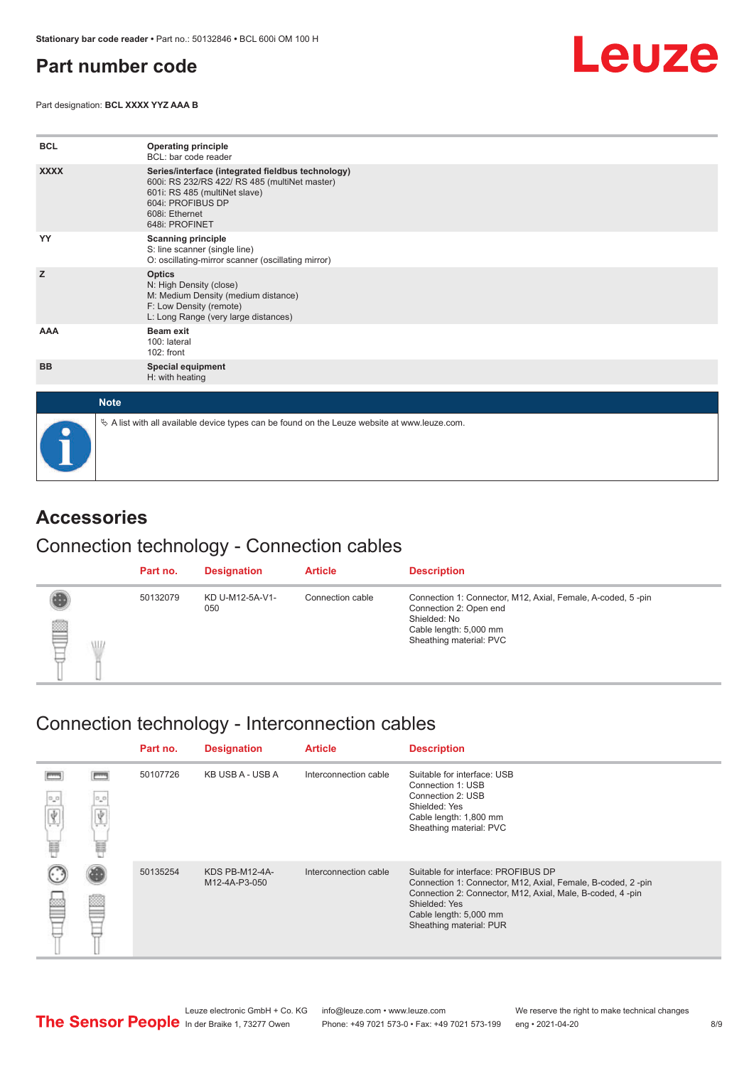### <span id="page-7-0"></span>**Part number code**

Part designation: **BCL XXXX YYZ AAA B**



| <b>BCL</b>  | <b>Operating principle</b><br>BCL: bar code reader                                                                                                                                           |
|-------------|----------------------------------------------------------------------------------------------------------------------------------------------------------------------------------------------|
| <b>XXXX</b> | Series/interface (integrated fieldbus technology)<br>600i: RS 232/RS 422/ RS 485 (multiNet master)<br>601i: RS 485 (multiNet slave)<br>604i: PROFIBUS DP<br>608i: Ethernet<br>648i: PROFINET |
| YY          | <b>Scanning principle</b><br>S: line scanner (single line)<br>O: oscillating-mirror scanner (oscillating mirror)                                                                             |
| z           | <b>Optics</b><br>N: High Density (close)<br>M: Medium Density (medium distance)<br>F: Low Density (remote)<br>L: Long Range (very large distances)                                           |
| AAA         | <b>Beam exit</b><br>100: lateral<br>102: front                                                                                                                                               |
| <b>BB</b>   | <b>Special equipment</b><br>H: with heating                                                                                                                                                  |
| <b>Note</b> |                                                                                                                                                                                              |
|             | $\&$ A list with all available device types can be found on the Leuze website at www.leuze.com.                                                                                              |

### **Accessories**

### Connection technology - Connection cables

|                      | Part no. | <b>Designation</b>     | <b>Article</b>   | <b>Description</b>                                                                                                                                         |
|----------------------|----------|------------------------|------------------|------------------------------------------------------------------------------------------------------------------------------------------------------------|
| ₿<br><b>AID</b><br>₽ | 50132079 | KD U-M12-5A-V1-<br>050 | Connection cable | Connection 1: Connector, M12, Axial, Female, A-coded, 5-pin<br>Connection 2: Open end<br>Shielded: No<br>Cable length: 5,000 mm<br>Sheathing material: PVC |

## Connection technology - Interconnection cables

|                  |          | Part no. | <b>Designation</b>              | <b>Article</b>        | <b>Description</b>                                                                                                                                                                                                                    |
|------------------|----------|----------|---------------------------------|-----------------------|---------------------------------------------------------------------------------------------------------------------------------------------------------------------------------------------------------------------------------------|
| $\sigma_{\rm m}$ | 0,0<br>譶 | 50107726 | KB USB A - USB A                | Interconnection cable | Suitable for interface: USB<br>Connection 1: USB<br>Connection 2: USB<br>Shielded: Yes<br>Cable length: 1,800 mm<br>Sheathing material: PVC                                                                                           |
|                  |          | 50135254 | KDS PB-M12-4A-<br>M12-4A-P3-050 | Interconnection cable | Suitable for interface: PROFIBUS DP<br>Connection 1: Connector, M12, Axial, Female, B-coded, 2-pin<br>Connection 2: Connector, M12, Axial, Male, B-coded, 4-pin<br>Shielded: Yes<br>Cable length: 5,000 mm<br>Sheathing material: PUR |